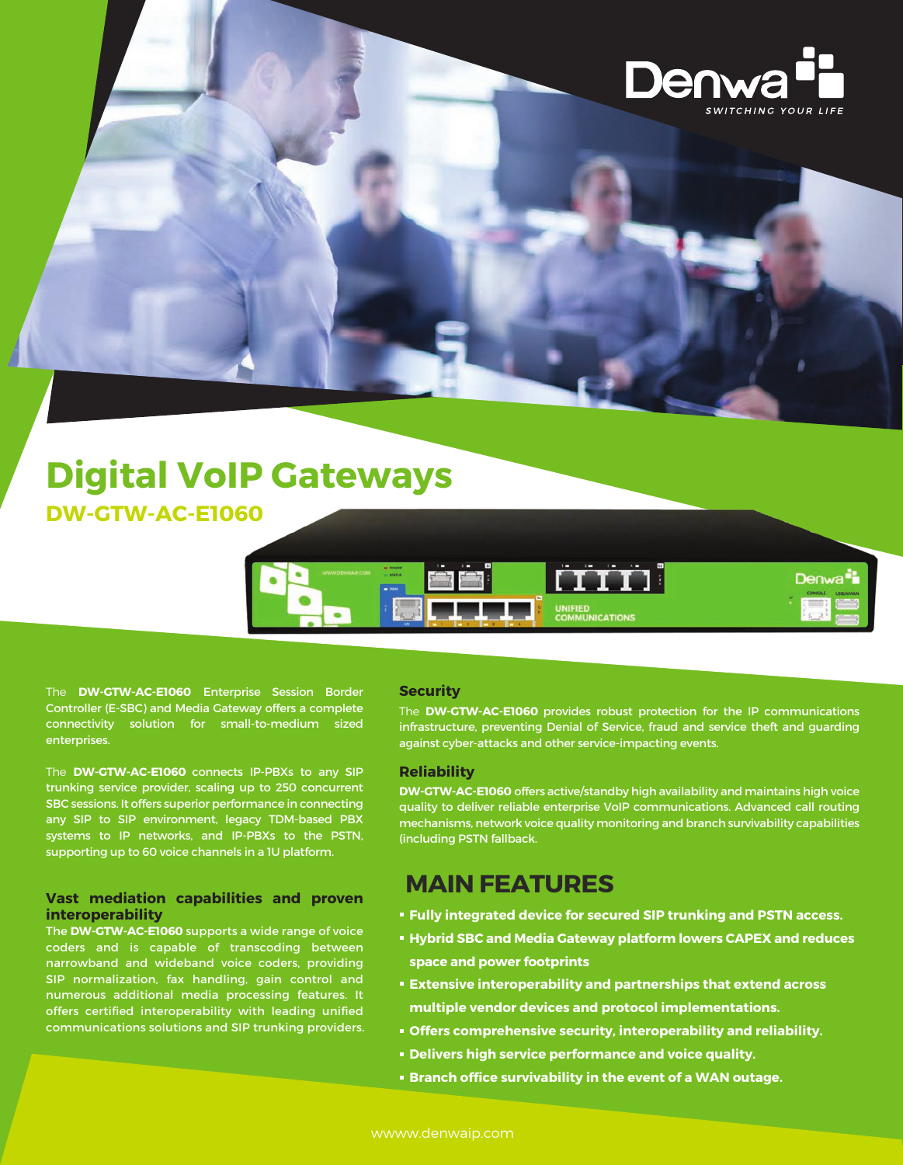

## **Digital VoIP Gateways DW-GTW-AC-E1060**



The **DW-GTW-AC-E1060** Enterprise Session Border Controller (E-SBC) and Media Gateway offers a complete connectivity solution for small-to-medium sized enterprises.

The **DW-GTW-AC-E1060** connects IP-PBXs to any SIP trunking service provider, scaling up to 250 concurrent SBC sessions. It offers superior performance in connecting any SIP to SIP environment, legacy TDM-based PBX systems to IP networks, and IP-PBXs to the PSTN, supporting up to 60 voice channels in a 1U platform.

#### **Vast mediation capabilities and proven interoperability**

The **DW-GTW-AC-E1060** supports a wide range of voice coders and is capable of transcoding between narrowband and wideband voice coders, providing SIP normalization, fax handling, gain control and numerous additional media processing features. It offers certified interoperability with leading unified communications solutions and SIP trunking providers.

#### **Security**

The **DW-GTW-AC-E1060** provides robust protection for the IP communications infrastructure, preventing Denial of Service, fraud and service theft and guarding against cyber-attacks and other service-impacting events.

#### **Reliability**

**DW-GTW-AC-E1060** offers active/standby high availability and maintains high voice quality to deliver reliable enterprise VoIP communications. Advanced call routing mechanisms, network voice quality monitoring and branch survivability capabilities (including PSTN fallback.

### **MAIN FEATURES**

- **Fully integrated device for secured SIP trunking and PSTN access.**
- **Hybrid SBC and Media Gateway platform lowers CAPEX and reduces space and power footprints**
- **Extensive interoperability and partnerships that extend across multiple vendor devices and protocol implementations.**
- **Offers comprehensive security, interoperability and reliability.**
- **Delivers high service performance and voice quality.**
- **Branch office survivability in the event of a WAN outage.**